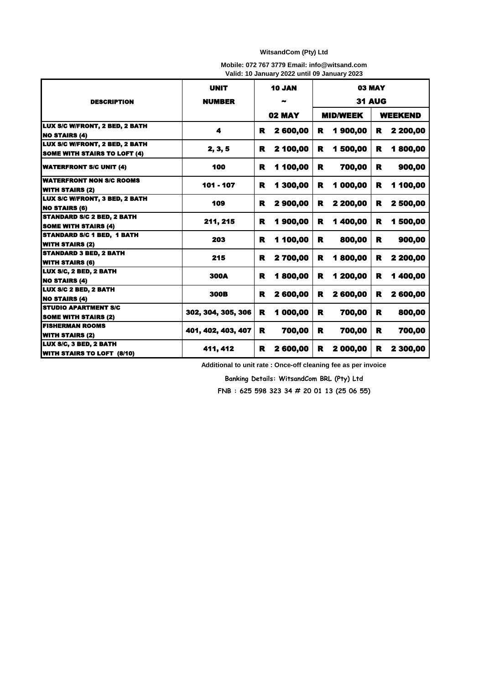## **WitsandCom (Pty) Ltd**

|  | Mobile: 072 767 3779 Email: info@witsand.com |  |
|--|----------------------------------------------|--|
|  | Valid: 10 January 2022 until 09 January 2023 |  |

|                                                                       | <b>UNIT</b>        | <b>10 JAN</b><br><b>02 MAY</b> |          | <b>03 MAY</b>   |          |                |          |
|-----------------------------------------------------------------------|--------------------|--------------------------------|----------|-----------------|----------|----------------|----------|
| <b>DESCRIPTION</b>                                                    | <b>NUMBER</b>      |                                |          | <b>31 AUG</b>   |          |                |          |
|                                                                       |                    |                                |          | <b>MID/WEEK</b> |          | <b>WEEKEND</b> |          |
| LUX S/C W/FRONT, 2 BED, 2 BATH<br><b>NO STAIRS (4)</b>                | 4                  | R                              | 2 600,00 | R               | 1900,00  | R              | 2 200,00 |
| LUX S/C W/FRONT, 2 BED, 2 BATH<br><b>SOME WITH STAIRS TO LOFT (4)</b> | 2, 3, 5            | R                              | 2 100,00 | R               | 1 500,00 | R              | 1800,00  |
| <b>WATERFRONT S/C UNIT (4)</b>                                        | 100                | R                              | 1 100,00 | R               | 700,00   | R              | 900,00   |
| <b>WATERFRONT NON S/C ROOMS</b><br><b>WITH STAIRS (2)</b>             | 101 - 107          | R                              | 1 300,00 | R               | 1 000,00 | R              | 1 100,00 |
| LUX S/C W/FRONT, 3 BED, 2 BATH<br><b>NO STAIRS (6)</b>                | 109                | R                              | 2 900,00 | R               | 2 200,00 | R              | 2 500,00 |
| <b>STANDARD S/C 2 BED, 2 BATH</b><br><b>SOME WITH STAIRS (4)</b>      | 211, 215           | R                              | 1900,00  | R               | 1400,00  | R              | 1 500,00 |
| <b>STANDARD S/C 1 BED, 1 BATH</b><br><b>WITH STAIRS (2)</b>           | 203                | R                              | 1 100,00 | R               | 800,00   | R              | 900,00   |
| <b>STANDARD 3 BED, 2 BATH</b><br><b>WITH STAIRS (6)</b>               | 215                | R                              | 2700,00  | R               | 1800,00  | R              | 2 200,00 |
| LUX S/C, 2 BED, 2 BATH<br><b>NO STAIRS (4)</b>                        | <b>300A</b>        | R                              | 1800,00  | R               | 1 200,00 | R              | 1400,00  |
| LUX S/C 2 BED, 2 BATH<br><b>NO STAIRS (4)</b>                         | 300B               | R                              | 2 600,00 | R               | 2 600,00 | R              | 2 600,00 |
| <b>STUDIO APARTMENT S/C</b><br><b>SOME WITH STAIRS (2)</b>            | 302, 304, 305, 306 | R                              | 1 000,00 | R               | 700,00   | R              | 800,00   |
| <b>FISHERMAN ROOMS</b><br><b>WITH STAIRS (2)</b>                      | 401, 402, 403, 407 | R                              | 700,00   | R               | 700,00   | R              | 700,00   |
| LUX S/C, 3 BED, 2 BATH<br><b>WITH STAIRS TO LOFT (8/10)</b>           | 411, 412           | R                              | 2 600,00 | R               | 2 000,00 | R              | 2 300,00 |

**Additional to unit rate : Once-off cleaning fee as per invoice**

**Banking Details: WitsandCom BRL (Pty) Ltd**

**FNB : 625 598 323 34 # 20 01 13 (25 06 55)**